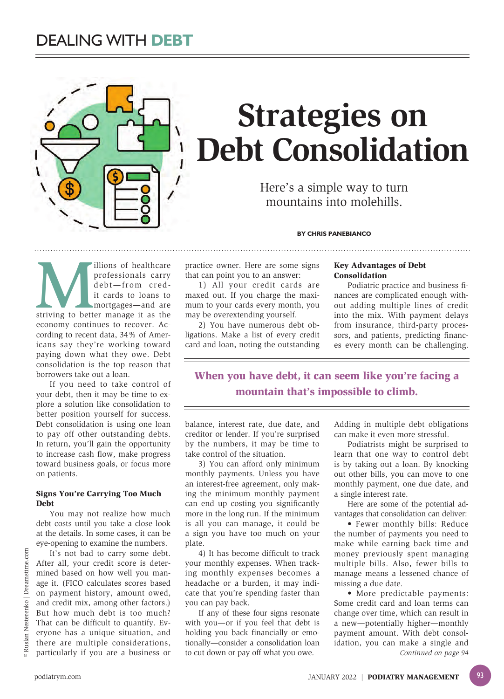

# **Strategies on Debt Consolidation**

Here's a simple way to turn mountains into molehills.

#### **BY CHRIS PANEBIANCO**

Illions of healthcare<br>
professionals carry<br>
debt—from cred-<br>
it cards to loans to<br>
mortgages—and are<br>
striving to better manage it as the professionals carry debt—from credit cards to loans to mortgages—and are economy continues to recover. According to recent data, 34% of Americans say they're working toward paying down what they owe. Debt consolidation is the top reason that borrowers take out a loan.

If you need to take control of your debt, then it may be time to explore a solution like consolidation to better position yourself for success. Debt consolidation is using one loan to pay off other outstanding debts. In return, you'll gain the opportunity to increase cash flow, make progress toward business goals, or focus more on patients.

#### Signs You're Carrying Too Much Debt

You may not realize how much debt costs until you take a close look at the details. In some cases, it can be eye-opening to examine the numbers.

It's not bad to carry some debt. After all, your credit score is determined based on how well you manage it. (FICO calculates scores based on payment history, amount owed, and credit mix, among other factors.) But how much debt is too much? That can be difficult to quantify. Everyone has a unique situation, and there are multiple considerations, particularly if you are a business or

practice owner. Here are some signs that can point you to an answer:

1) All your credit cards are maxed out. If you charge the maximum to your cards every month, you may be overextending yourself.

2) You have numerous debt obligations. Make a list of every credit card and loan, noting the outstanding

### Key Advantages of Debt Consolidation

Podiatric practice and business finances are complicated enough without adding multiple lines of credit into the mix. With payment delays from insurance, third-party processors, and patients, predicting finances every month can be challenging.

When you have debt, it can seem like you're facing a mountain that's impossible to climb.

balance, interest rate, due date, and creditor or lender. If you're surprised by the numbers, it may be time to take control of the situation.

3) You can afford only minimum monthly payments. Unless you have an interest-free agreement, only making the minimum monthly payment can end up costing you significantly more in the long run. If the minimum is all you can manage, it could be a sign you have too much on your plate.

4) It has become difficult to track your monthly expenses. When tracking monthly expenses becomes a headache or a burden, it may indicate that you're spending faster than you can pay back.

If any of these four signs resonate with you—or if you feel that debt is holding you back financially or emotionally—consider a consolidation loan to cut down or pay off what you owe.

Adding in multiple debt obligations can make it even more stressful.

Podiatrists might be surprised to learn that one way to control debt is by taking out a loan. By knocking out other bills, you can move to one monthly payment, one due date, and a single interest rate.

Here are some of the potential advantages that consolidation can deliver:

• Fewer monthly bills: Reduce the number of payments you need to make while earning back time and money previously spent managing multiple bills. Also, fewer bills to manage means a lessened chance of missing a due date.

• More predictable payments: Some credit card and loan terms can change over time, which can result in a new—potentially higher—monthly payment amount. With debt consolidation, you can make a single and *Continued on page 94*